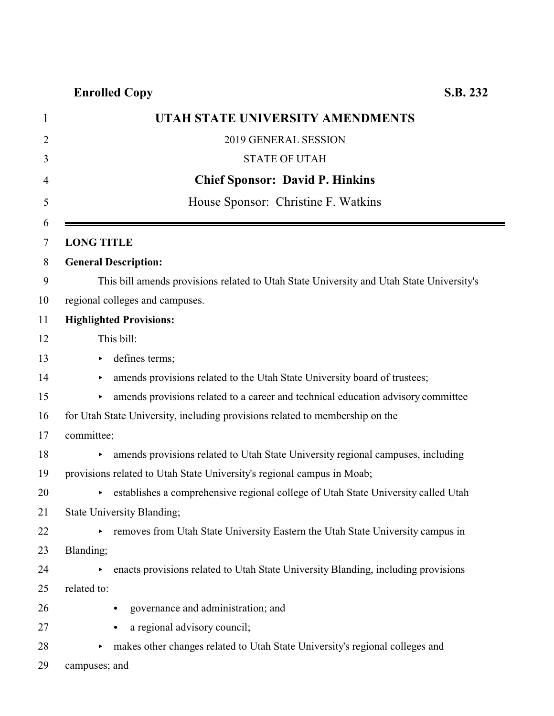| $\mathbf{1}$ |                                   | UTAH STATE UNIVERSITY AMENDMENTS                                                         |
|--------------|-----------------------------------|------------------------------------------------------------------------------------------|
| 2            |                                   | 2019 GENERAL SESSION                                                                     |
| 3            |                                   | <b>STATE OF UTAH</b>                                                                     |
| 4            |                                   | <b>Chief Sponsor: David P. Hinkins</b>                                                   |
| 5            |                                   | House Sponsor: Christine F. Watkins                                                      |
| 6<br>7       | <b>LONG TITLE</b>                 |                                                                                          |
| 8            | <b>General Description:</b>       |                                                                                          |
| 9            |                                   | This bill amends provisions related to Utah State University and Utah State University's |
| 10           | regional colleges and campuses.   |                                                                                          |
| 11           | <b>Highlighted Provisions:</b>    |                                                                                          |
| 12           | This bill:                        |                                                                                          |
| 13           |                                   | defines terms;                                                                           |
| 14           | ▶                                 | amends provisions related to the Utah State University board of trustees;                |
| 15           |                                   | amends provisions related to a career and technical education advisory committee         |
| 16           |                                   | for Utah State University, including provisions related to membership on the             |
| 17           | committee;                        |                                                                                          |
| 18           |                                   | amends provisions related to Utah State University regional campuses, including          |
| 19           |                                   | provisions related to Utah State University's regional campus in Moab;                   |
| 20           |                                   | establishes a comprehensive regional college of Utah State University called Utah        |
| 21           | <b>State University Blanding;</b> |                                                                                          |
| 22           |                                   | removes from Utah State University Eastern the Utah State University campus in           |
| 23           | Blanding;                         |                                                                                          |
| 24           |                                   | enacts provisions related to Utah State University Blanding, including provisions        |
| 25           | related to:                       |                                                                                          |
| 26           |                                   | governance and administration; and                                                       |
| 27           | $\bullet$                         | a regional advisory council;                                                             |
| 28           |                                   | makes other changes related to Utah State University's regional colleges and             |
| 29           | campuses; and                     |                                                                                          |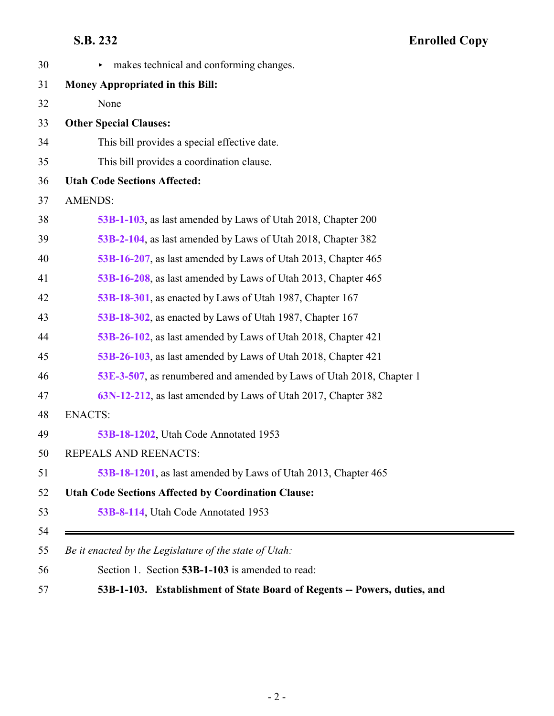<span id="page-1-0"></span>

 $\equiv$ 

| 30 | makes technical and conforming changes.                                   |
|----|---------------------------------------------------------------------------|
| 31 | Money Appropriated in this Bill:                                          |
| 32 | None                                                                      |
| 33 | <b>Other Special Clauses:</b>                                             |
| 34 | This bill provides a special effective date.                              |
| 35 | This bill provides a coordination clause.                                 |
| 36 | <b>Utah Code Sections Affected:</b>                                       |
| 37 | <b>AMENDS:</b>                                                            |
| 38 | 53B-1-103, as last amended by Laws of Utah 2018, Chapter 200              |
| 39 | 53B-2-104, as last amended by Laws of Utah 2018, Chapter 382              |
| 40 | 53B-16-207, as last amended by Laws of Utah 2013, Chapter 465             |
| 41 | 53B-16-208, as last amended by Laws of Utah 2013, Chapter 465             |
| 42 | 53B-18-301, as enacted by Laws of Utah 1987, Chapter 167                  |
| 43 | 53B-18-302, as enacted by Laws of Utah 1987, Chapter 167                  |
| 44 | 53B-26-102, as last amended by Laws of Utah 2018, Chapter 421             |
| 45 | 53B-26-103, as last amended by Laws of Utah 2018, Chapter 421             |
| 46 | 53E-3-507, as renumbered and amended by Laws of Utah 2018, Chapter 1      |
| 47 | 63N-12-212, as last amended by Laws of Utah 2017, Chapter 382             |
| 48 | <b>ENACTS:</b>                                                            |
| 49 | 53B-18-1202, Utah Code Annotated 1953                                     |
| 50 | REPEALS AND REENACTS:                                                     |
| 51 | 53B-18-1201, as last amended by Laws of Utah 2013, Chapter 465            |
| 52 | <b>Utah Code Sections Affected by Coordination Clause:</b>                |
| 53 | 53B-8-114, Utah Code Annotated 1953                                       |
| 54 |                                                                           |
| 55 | Be it enacted by the Legislature of the state of Utah:                    |
| 56 | Section 1. Section 53B-1-103 is amended to read:                          |
| 57 | 53B-1-103. Establishment of State Board of Regents -- Powers, duties, and |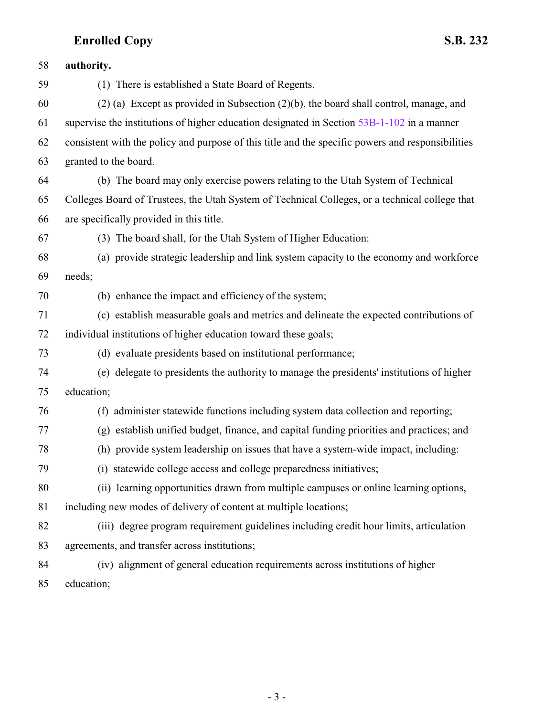| 58 | authority.                                                                                        |
|----|---------------------------------------------------------------------------------------------------|
| 59 | (1) There is established a State Board of Regents.                                                |
| 60 | $(2)$ (a) Except as provided in Subsection $(2)(b)$ , the board shall control, manage, and        |
| 61 | supervise the institutions of higher education designated in Section 53B-1-102 in a manner        |
| 62 | consistent with the policy and purpose of this title and the specific powers and responsibilities |
| 63 | granted to the board.                                                                             |
| 64 | (b) The board may only exercise powers relating to the Utah System of Technical                   |
| 65 | Colleges Board of Trustees, the Utah System of Technical Colleges, or a technical college that    |
| 66 | are specifically provided in this title.                                                          |
| 67 | (3) The board shall, for the Utah System of Higher Education:                                     |
| 68 | (a) provide strategic leadership and link system capacity to the economy and workforce            |
| 69 | needs;                                                                                            |
| 70 | (b) enhance the impact and efficiency of the system;                                              |
| 71 | (c) establish measurable goals and metrics and delineate the expected contributions of            |
| 72 | individual institutions of higher education toward these goals;                                   |
| 73 | (d) evaluate presidents based on institutional performance;                                       |
| 74 | (e) delegate to presidents the authority to manage the presidents' institutions of higher         |
| 75 | education;                                                                                        |
| 76 | (f) administer statewide functions including system data collection and reporting;                |
| 77 | (g) establish unified budget, finance, and capital funding priorities and practices; and          |
| 78 | (h) provide system leadership on issues that have a system-wide impact, including:                |
| 79 | (i) statewide college access and college preparedness initiatives;                                |
| 80 | (ii) learning opportunities drawn from multiple campuses or online learning options,              |
| 81 | including new modes of delivery of content at multiple locations;                                 |
| 82 | (iii) degree program requirement guidelines including credit hour limits, articulation            |
| 83 | agreements, and transfer across institutions;                                                     |
| 84 | (iv) alignment of general education requirements across institutions of higher                    |
|    |                                                                                                   |

education;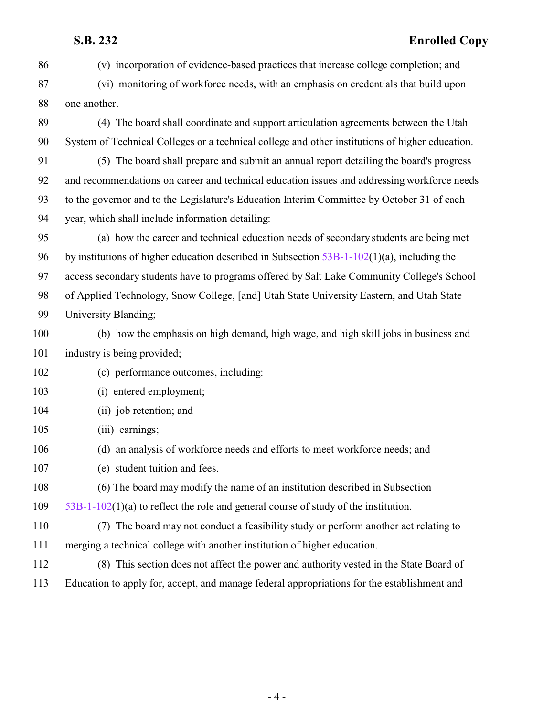(v) incorporation of evidence-based practices that increase college completion; and (vi) monitoring of workforce needs, with an emphasis on credentials that build upon one another. (4) The board shall coordinate and support articulation agreements between the Utah System of Technical Colleges or a technical college and other institutions of higher education. (5) The board shall prepare and submit an annual report detailing the board's progress and recommendations on career and technical education issues and addressing workforce needs to the governor and to the Legislature's Education Interim Committee by October 31 of each year, which shall include information detailing: (a) how the career and technical education needs of secondary students are being met 96 by institutions of higher education described in Subsection  $53B-1-102(1)(a)$ , including the access secondary students have to programs offered by Salt Lake Community College's School 98 of Applied Technology, Snow College, [and] Utah State University Eastern, and Utah State University Blanding; (b) how the emphasis on high demand, high wage, and high skill jobs in business and industry is being provided; (c) performance outcomes, including: (i) entered employment; (ii) job retention; and (iii) earnings; (d) an analysis of workforce needs and efforts to meet workforce needs; and (e) student tuition and fees. (6) The board may modify the name of an institution described in Subsection [53B-1-102](http://le.utah.gov/UtahCode/SectionLookup.jsp?section=53b-1-102&session=2019GS)(1)(a) to reflect the role and general course of study of the institution. (7) The board may not conduct a feasibility study or perform another act relating to merging a technical college with another institution of higher education. (8) This section does not affect the power and authority vested in the State Board of Education to apply for, accept, and manage federal appropriations for the establishment and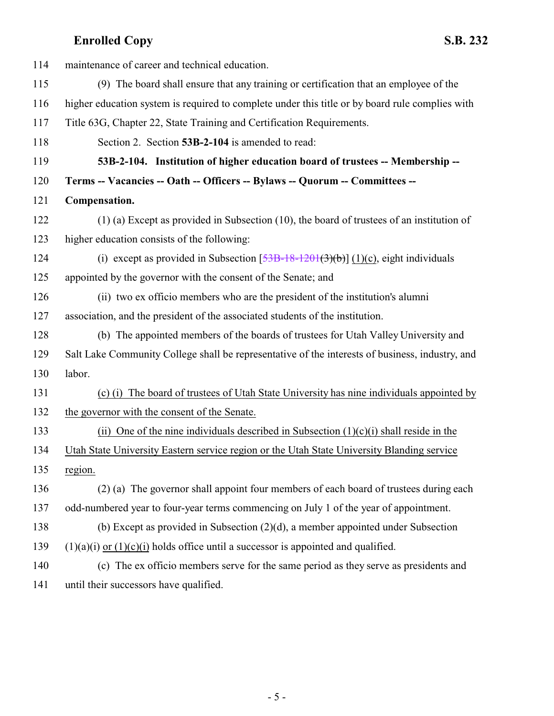<span id="page-4-0"></span>

| 114 | maintenance of career and technical education.                                                  |
|-----|-------------------------------------------------------------------------------------------------|
| 115 | (9) The board shall ensure that any training or certification that an employee of the           |
| 116 | higher education system is required to complete under this title or by board rule complies with |
| 117 | Title 63G, Chapter 22, State Training and Certification Requirements.                           |
| 118 | Section 2. Section 53B-2-104 is amended to read:                                                |
| 119 | 53B-2-104. Institution of higher education board of trustees -- Membership --                   |
| 120 | Terms -- Vacancies -- Oath -- Officers -- Bylaws -- Quorum -- Committees --                     |
| 121 | Compensation.                                                                                   |
| 122 | $(1)$ (a) Except as provided in Subsection (10), the board of trustees of an institution of     |
| 123 | higher education consists of the following:                                                     |
| 124 | (i) except as provided in Subsection $[53B-18-1201(3)(b)]$ (1)(c), eight individuals            |
| 125 | appointed by the governor with the consent of the Senate; and                                   |
| 126 | (ii) two ex officio members who are the president of the institution's alumni                   |
| 127 | association, and the president of the associated students of the institution.                   |
| 128 | (b) The appointed members of the boards of trustees for Utah Valley University and              |
| 129 | Salt Lake Community College shall be representative of the interests of business, industry, and |
| 130 | labor.                                                                                          |
| 131 | (c) (i) The board of trustees of Utah State University has nine individuals appointed by        |
| 132 | the governor with the consent of the Senate.                                                    |
| 133 | (ii) One of the nine individuals described in Subsection $(1)(c)(i)$ shall reside in the        |
| 134 | Utah State University Eastern service region or the Utah State University Blanding service      |
| 135 | region.                                                                                         |
| 136 | (2) (a) The governor shall appoint four members of each board of trustees during each           |
| 137 | odd-numbered year to four-year terms commencing on July 1 of the year of appointment.           |
| 138 | (b) Except as provided in Subsection $(2)(d)$ , a member appointed under Subsection             |
| 139 | $(1)(a)(i)$ or $(1)(c)(i)$ holds office until a successor is appointed and qualified.           |
| 140 | (c) The ex officio members serve for the same period as they serve as presidents and            |
| 141 | until their successors have qualified.                                                          |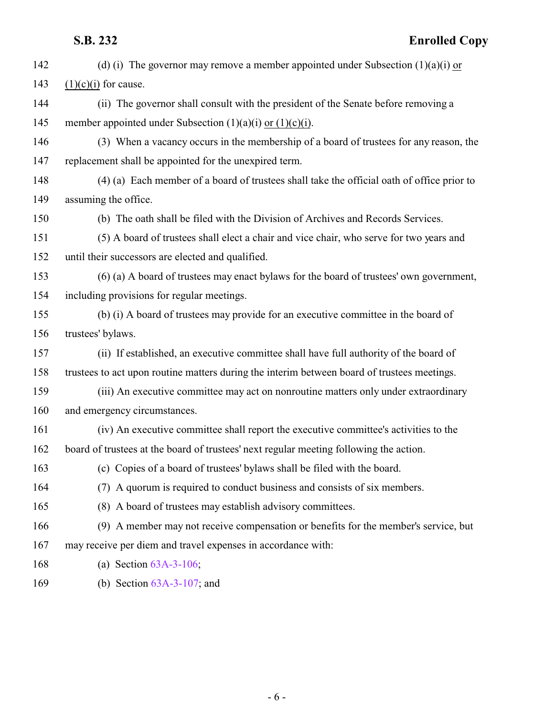| 143 | $(1)(c)(i)$ for cause.                                                                      |
|-----|---------------------------------------------------------------------------------------------|
| 144 | (ii) The governor shall consult with the president of the Senate before removing a          |
| 145 | member appointed under Subsection $(1)(a)(i)$ or $(1)(c)(i)$ .                              |
| 146 | (3) When a vacancy occurs in the membership of a board of trustees for any reason, the      |
| 147 | replacement shall be appointed for the unexpired term.                                      |
| 148 | (4) (a) Each member of a board of trustees shall take the official oath of office prior to  |
| 149 | assuming the office.                                                                        |
| 150 | (b) The oath shall be filed with the Division of Archives and Records Services.             |
| 151 | (5) A board of trustees shall elect a chair and vice chair, who serve for two years and     |
| 152 | until their successors are elected and qualified.                                           |
| 153 | (6) (a) A board of trustees may enact bylaws for the board of trustees' own government,     |
| 154 | including provisions for regular meetings.                                                  |
| 155 | (b) (i) A board of trustees may provide for an executive committee in the board of          |
| 156 | trustees' bylaws.                                                                           |
| 157 | (ii) If established, an executive committee shall have full authority of the board of       |
| 158 | trustees to act upon routine matters during the interim between board of trustees meetings. |
| 159 | (iii) An executive committee may act on nonroutine matters only under extraordinary         |
| 160 | and emergency circumstances.                                                                |
| 161 | (iv) An executive committee shall report the executive committee's activities to the        |
| 162 | board of trustees at the board of trustees' next regular meeting following the action.      |
| 163 | (c) Copies of a board of trustees' bylaws shall be filed with the board.                    |
| 164 | (7) A quorum is required to conduct business and consists of six members.                   |
| 165 | (8) A board of trustees may establish advisory committees.                                  |
| 166 | (9) A member may not receive compensation or benefits for the member's service, but         |
| 167 | may receive per diem and travel expenses in accordance with:                                |
| 168 | (a) Section $63A-3-106$ ;                                                                   |
|     |                                                                                             |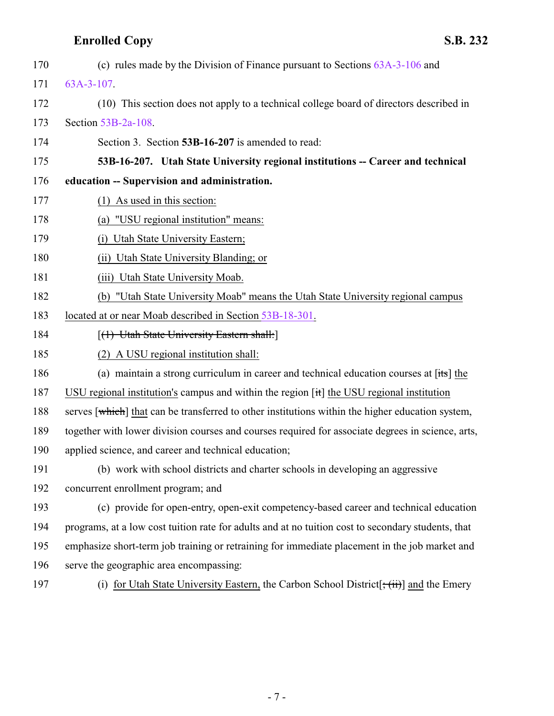<span id="page-6-0"></span> (c) rules made by the Division of Finance pursuant to Sections [63A-3-106](http://le.utah.gov/UtahCode/SectionLookup.jsp?section=63a-3-106&session=2019GS) and [63A-3-107](http://le.utah.gov/UtahCode/SectionLookup.jsp?section=63a-3-107&session=2019GS). (10) This section does not apply to a technical college board of directors described in Section [53B-2a-108](http://le.utah.gov/UtahCode/SectionLookup.jsp?section=53b-2a-108&session=2019GS). Section 3. Section **53B-16-207** is amended to read: **53B-16-207. Utah State University regional institutions -- Career and technical education -- Supervision and administration.** (1) As used in this section: (a) "USU regional institution" means: (i) Utah State University Eastern; (ii) Utah State University Blanding; or (iii) Utah State University Moab. (b) "Utah State University Moab" means the Utah State University regional campus located at or near Moab described in Section [53B-18-301](#page-9-0). **[(1) Utah State University Eastern shall:**  (2) A USU regional institution shall: 186 (a) maintain a strong curriculum in career and technical education courses at [its] the USU regional institution's campus and within the region [it] the USU regional institution 188 serves [which] that can be transferred to other institutions within the higher education system, together with lower division courses and courses required for associate degrees in science, arts, applied science, and career and technical education; (b) work with school districts and charter schools in developing an aggressive concurrent enrollment program; and (c) provide for open-entry, open-exit competency-based career and technical education programs, at a low cost tuition rate for adults and at no tuition cost to secondary students, that emphasize short-term job training or retraining for immediate placement in the job market and serve the geographic area encompassing: 197 (i) for Utah State University Eastern, the Carbon School District  $[\frac{1}{2} + i\frac{1}{2}]$  and the Emery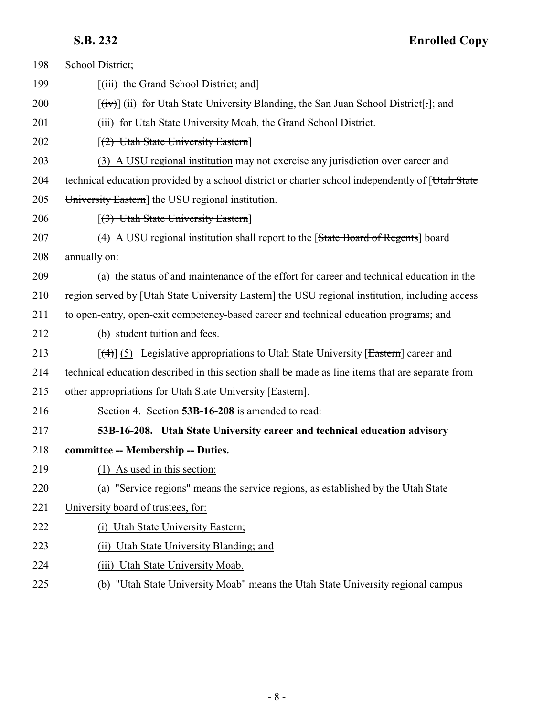<span id="page-7-0"></span>

| 198 | School District;                                                                                         |
|-----|----------------------------------------------------------------------------------------------------------|
| 199 | [ <del>(iii) the Grand School District; and</del> ]                                                      |
| 200 | $[\overline{(iv)}]$ (ii) for Utah State University Blanding, the San Juan School District [.]; and       |
| 201 | (iii) for Utah State University Moab, the Grand School District.                                         |
| 202 | [(2) Utah State University Eastern]                                                                      |
| 203 | (3) A USU regional institution may not exercise any jurisdiction over career and                         |
| 204 | technical education provided by a school district or charter school independently of [Htah State         |
| 205 | University Eastern] the USU regional institution.                                                        |
| 206 | [(3) Utah State University Eastern]                                                                      |
| 207 | (4) A USU regional institution shall report to the [State Board of Regents] board                        |
| 208 | annually on:                                                                                             |
| 209 | (a) the status of and maintenance of the effort for career and technical education in the                |
| 210 | region served by [ <i>Utah State University Eastern</i> ] the USU regional institution, including access |
| 211 | to open-entry, open-exit competency-based career and technical education programs; and                   |
| 212 | (b) student tuition and fees.                                                                            |
| 213 | $\lceil (4) \rceil$ (5) Legislative appropriations to Utah State University [Eastern] career and         |
| 214 | technical education described in this section shall be made as line items that are separate from         |
| 215 | other appropriations for Utah State University [Eastern].                                                |
| 216 | Section 4. Section 53B-16-208 is amended to read:                                                        |
| 217 | 53B-16-208. Utah State University career and technical education advisory                                |
| 218 | committee -- Membership -- Duties.                                                                       |
| 219 | As used in this section:                                                                                 |
| 220 | (a) "Service regions" means the service regions, as established by the Utah State                        |
| 221 | University board of trustees, for:                                                                       |
| 222 | (i) Utah State University Eastern;                                                                       |
| 223 | Utah State University Blanding; and<br>(i)                                                               |
| 224 | Utah State University Moab.<br>(iii)                                                                     |
| 225 | "Utah State University Moab" means the Utah State University regional campus<br>(b)                      |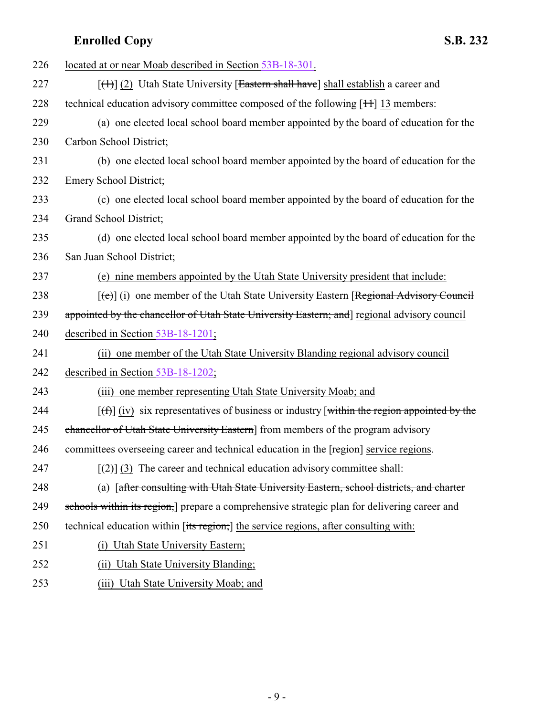| 226 | located at or near Moab described in Section 53B-18-301.                                              |
|-----|-------------------------------------------------------------------------------------------------------|
| 227 | $[\text{(+)}]$ (2) Utah State University [Eastern shall have] shall establish a career and            |
| 228 | technical education advisory committee composed of the following [H] 13 members:                      |
| 229 | (a) one elected local school board member appointed by the board of education for the                 |
| 230 | Carbon School District;                                                                               |
| 231 | (b) one elected local school board member appointed by the board of education for the                 |
| 232 | Emery School District;                                                                                |
| 233 | (c) one elected local school board member appointed by the board of education for the                 |
| 234 | Grand School District;                                                                                |
| 235 | (d) one elected local school board member appointed by the board of education for the                 |
| 236 | San Juan School District;                                                                             |
| 237 | (e) nine members appointed by the Utah State University president that include:                       |
| 238 | $[\text{e}(\text{e})]$ (i) one member of the Utah State University Eastern [Regional Advisory Council |
| 239 | appointed by the chancellor of Utah State University Eastern; and regional advisory council           |
| 240 | described in Section 53B-18-1201;                                                                     |
| 241 | (ii) one member of the Utah State University Blanding regional advisory council                       |
| 242 | described in Section 53B-18-1202;                                                                     |
| 243 | (iii) one member representing Utah State University Moab; and                                         |
| 244 | $[f(f)]$ (iv) six representatives of business or industry within the region appointed by the          |
| 245 | chancellor of Utah State University Eastern] from members of the program advisory                     |
| 246 | committees overseeing career and technical education in the [region] service regions.                 |
| 247 | $[\frac{1}{2}]$ (3) The career and technical education advisory committee shall:                      |
| 248 | (a) [after consulting with Utah State University Eastern, school districts, and charter               |
| 249 | schools within its region, prepare a comprehensive strategic plan for delivering career and           |
| 250 | technical education within [its region;] the service regions, after consulting with:                  |
| 251 | (i) Utah State University Eastern;                                                                    |
| 252 | (ii) Utah State University Blanding;                                                                  |
| 253 | (iii) Utah State University Moab; and                                                                 |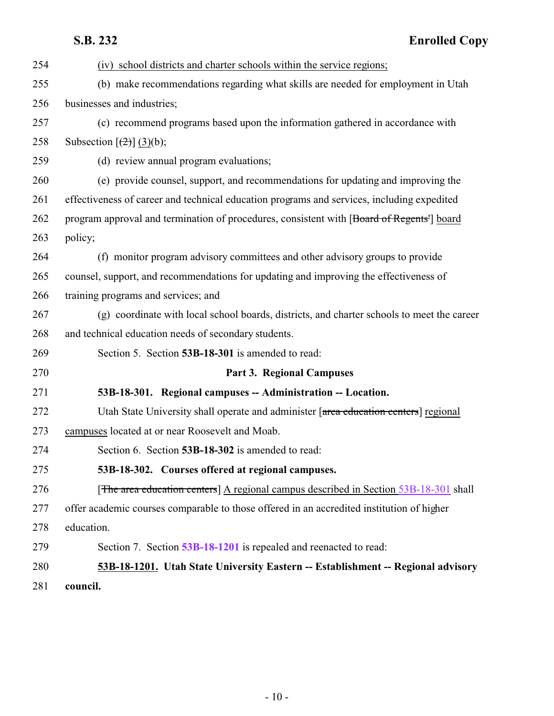<span id="page-9-1"></span><span id="page-9-0"></span>

| 254 | (iv) school districts and charter schools within the service regions;                                  |
|-----|--------------------------------------------------------------------------------------------------------|
| 255 | (b) make recommendations regarding what skills are needed for employment in Utah                       |
| 256 | businesses and industries;                                                                             |
| 257 | (c) recommend programs based upon the information gathered in accordance with                          |
| 258 | Subsection $[\frac{2}{2}]$ (3)(b);                                                                     |
| 259 | (d) review annual program evaluations;                                                                 |
| 260 | (e) provide counsel, support, and recommendations for updating and improving the                       |
| 261 | effectiveness of career and technical education programs and services, including expedited             |
| 262 | program approval and termination of procedures, consistent with [Board of Regents <sup>1</sup> ] board |
| 263 | policy;                                                                                                |
| 264 | (f) monitor program advisory committees and other advisory groups to provide                           |
| 265 | counsel, support, and recommendations for updating and improving the effectiveness of                  |
| 266 | training programs and services; and                                                                    |
| 267 | (g) coordinate with local school boards, districts, and charter schools to meet the career             |
| 268 | and technical education needs of secondary students.                                                   |
| 269 | Section 5. Section 53B-18-301 is amended to read:                                                      |
| 270 | Part 3. Regional Campuses                                                                              |
| 271 | 53B-18-301. Regional campuses -- Administration -- Location.                                           |
| 272 | Utah State University shall operate and administer [area education centers] regional                   |
| 273 | campuses located at or near Roosevelt and Moab.                                                        |
| 274 | Section 6. Section 53B-18-302 is amended to read:                                                      |
| 275 | 53B-18-302. Courses offered at regional campuses.                                                      |
| 276 | [The area education centers] A regional campus described in Section 53B-18-301 shall                   |
| 277 | offer academic courses comparable to those offered in an accredited institution of higher              |
| 278 | education.                                                                                             |
| 279 | Section 7. Section 53B-18-1201 is repealed and reenacted to read:                                      |
| 280 | 53B-18-1201. Utah State University Eastern -- Establishment -- Regional advisory                       |
| 281 | council.                                                                                               |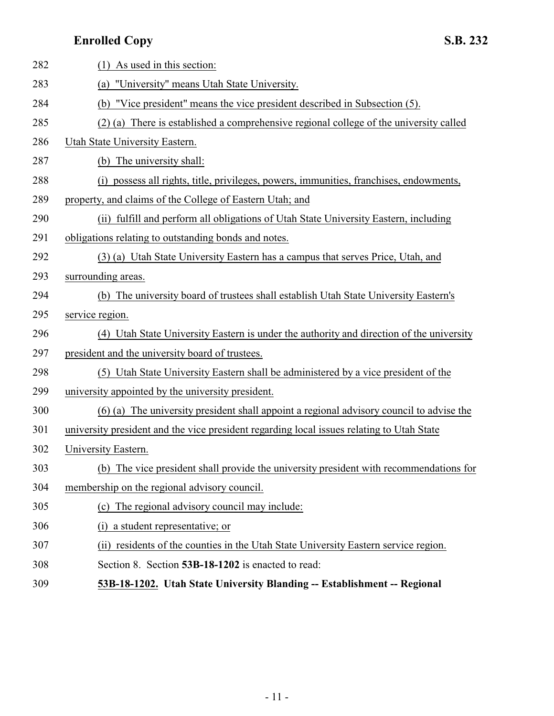| 282 | (1) As used in this section:                                                              |
|-----|-------------------------------------------------------------------------------------------|
| 283 | "University" means Utah State University.<br>(a)                                          |
| 284 | (b) "Vice president" means the vice president described in Subsection (5).                |
| 285 | (2) (a) There is established a comprehensive regional college of the university called    |
| 286 | Utah State University Eastern.                                                            |
| 287 | (b) The university shall:                                                                 |
| 288 | possess all rights, title, privileges, powers, immunities, franchises, endowments,<br>(i) |
| 289 | property, and claims of the College of Eastern Utah; and                                  |
| 290 | fulfill and perform all obligations of Utah State University Eastern, including<br>(ii)   |
| 291 | obligations relating to outstanding bonds and notes.                                      |
| 292 | (3) (a) Utah State University Eastern has a campus that serves Price, Utah, and           |
| 293 | surrounding areas.                                                                        |
| 294 | (b) The university board of trustees shall establish Utah State University Eastern's      |
| 295 | service region.                                                                           |
| 296 | (4) Utah State University Eastern is under the authority and direction of the university  |
| 297 | president and the university board of trustees.                                           |
| 298 | (5) Utah State University Eastern shall be administered by a vice president of the        |
| 299 | university appointed by the university president.                                         |
| 300 | (6) (a) The university president shall appoint a regional advisory council to advise the  |
| 301 | university president and the vice president regarding local issues relating to Utah State |
| 302 | University Eastern.                                                                       |
| 303 | The vice president shall provide the university president with recommendations for<br>(b) |
| 304 | membership on the regional advisory council.                                              |
| 305 | (c) The regional advisory council may include:                                            |
| 306 | (i) a student representative; or                                                          |
| 307 | (ii) residents of the counties in the Utah State University Eastern service region.       |
| 308 | Section 8. Section 53B-18-1202 is enacted to read:                                        |
|     |                                                                                           |

<span id="page-10-0"></span>**53B-18-1202. Utah State University Blanding -- Establishment -- Regional**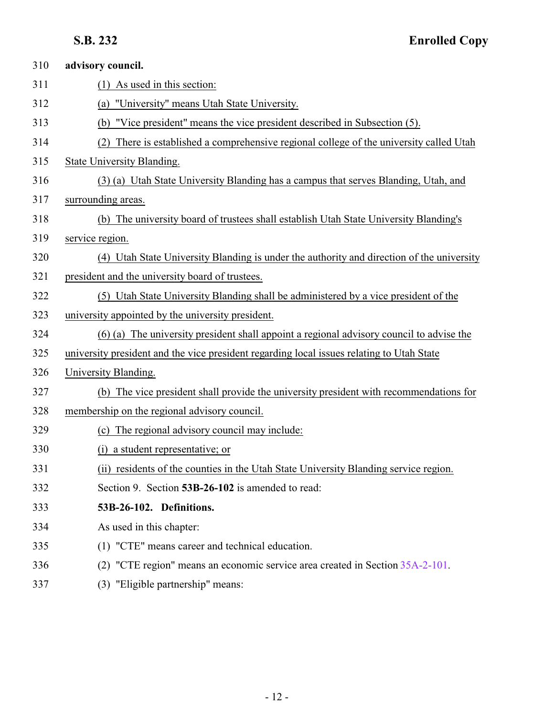<span id="page-11-0"></span>

| 310 | advisory council.                                                                         |
|-----|-------------------------------------------------------------------------------------------|
| 311 | (1) As used in this section:                                                              |
| 312 | (a) "University" means Utah State University.                                             |
| 313 | "Vice president" means the vice president described in Subsection (5).<br>(b)             |
| 314 | There is established a comprehensive regional college of the university called Utah       |
| 315 | State University Blanding.                                                                |
| 316 | (3) (a) Utah State University Blanding has a campus that serves Blanding, Utah, and       |
| 317 | surrounding areas.                                                                        |
| 318 | (b) The university board of trustees shall establish Utah State University Blanding's     |
| 319 | service region.                                                                           |
| 320 | (4) Utah State University Blanding is under the authority and direction of the university |
| 321 | president and the university board of trustees.                                           |
| 322 | (5) Utah State University Blanding shall be administered by a vice president of the       |
| 323 | university appointed by the university president.                                         |
| 324 | (6) (a) The university president shall appoint a regional advisory council to advise the  |
| 325 | university president and the vice president regarding local issues relating to Utah State |
| 326 | University Blanding.                                                                      |
| 327 | The vice president shall provide the university president with recommendations for<br>(b) |
| 328 | membership on the regional advisory council.                                              |
| 329 | The regional advisory council may include:<br>(c)                                         |
| 330 | a student representative; or                                                              |
| 331 | (ii) residents of the counties in the Utah State University Blanding service region.      |
| 332 | Section 9. Section 53B-26-102 is amended to read:                                         |
| 333 | 53B-26-102. Definitions.                                                                  |
| 334 | As used in this chapter:                                                                  |
| 335 | (1) "CTE" means career and technical education.                                           |
| 336 | (2) "CTE region" means an economic service area created in Section 35A-2-101.             |
| 337 | (3) "Eligible partnership" means:                                                         |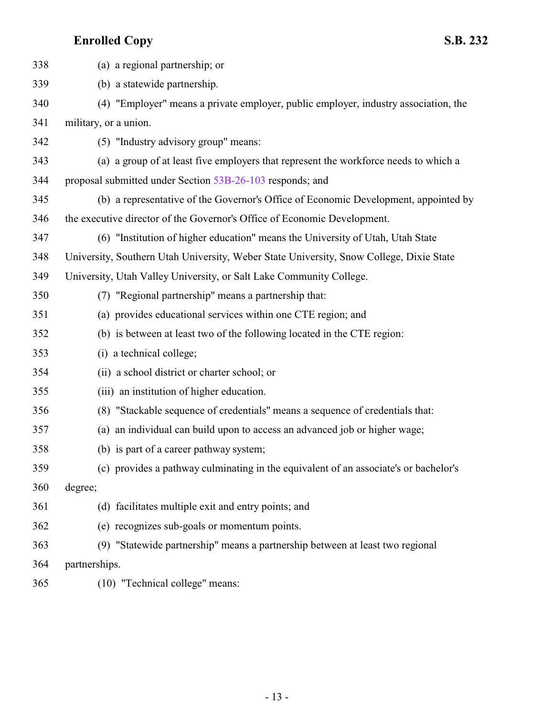| 338 | (a) a regional partnership; or                                                          |
|-----|-----------------------------------------------------------------------------------------|
| 339 | (b) a statewide partnership.                                                            |
| 340 | (4) "Employer" means a private employer, public employer, industry association, the     |
| 341 | military, or a union.                                                                   |
| 342 | (5) "Industry advisory group" means:                                                    |
| 343 | (a) a group of at least five employers that represent the workforce needs to which a    |
| 344 | proposal submitted under Section 53B-26-103 responds; and                               |
| 345 | (b) a representative of the Governor's Office of Economic Development, appointed by     |
| 346 | the executive director of the Governor's Office of Economic Development.                |
| 347 | (6) "Institution of higher education" means the University of Utah, Utah State          |
| 348 | University, Southern Utah University, Weber State University, Snow College, Dixie State |
| 349 | University, Utah Valley University, or Salt Lake Community College.                     |
| 350 | (7) "Regional partnership" means a partnership that:                                    |
| 351 | (a) provides educational services within one CTE region; and                            |
| 352 | (b) is between at least two of the following located in the CTE region:                 |
| 353 | (i) a technical college;                                                                |
| 354 | (ii) a school district or charter school; or                                            |
| 355 | (iii) an institution of higher education.                                               |
| 356 | (8) "Stackable sequence of credentials" means a sequence of credentials that:           |
| 357 | (a) an individual can build upon to access an advanced job or higher wage;              |
| 358 | (b) is part of a career pathway system;                                                 |
| 359 | (c) provides a pathway culminating in the equivalent of an associate's or bachelor's    |
| 360 | degree;                                                                                 |
| 361 | (d) facilitates multiple exit and entry points; and                                     |
| 362 | (e) recognizes sub-goals or momentum points.                                            |
| 363 | (9) "Statewide partnership" means a partnership between at least two regional           |
| 364 | partnerships.                                                                           |
| 365 | (10) "Technical college" means:                                                         |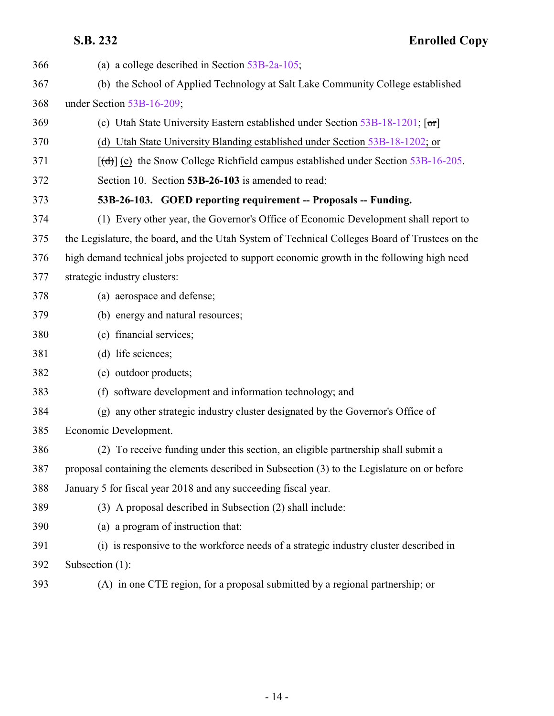<span id="page-13-0"></span>

| 366 | (a) a college described in Section $53B-2a-105$ ;                                              |
|-----|------------------------------------------------------------------------------------------------|
| 367 | (b) the School of Applied Technology at Salt Lake Community College established                |
| 368 | under Section 53B-16-209;                                                                      |
| 369 | (c) Utah State University Eastern established under Section $53B-18-1201$ ; [or]               |
| 370 | (d) Utah State University Blanding established under Section 53B-18-1202; or                   |
| 371 | $[\text{(d)}]$ (e) the Snow College Richfield campus established under Section 53B-16-205.     |
| 372 | Section 10. Section 53B-26-103 is amended to read:                                             |
| 373 | 53B-26-103. GOED reporting requirement -- Proposals -- Funding.                                |
| 374 | (1) Every other year, the Governor's Office of Economic Development shall report to            |
| 375 | the Legislature, the board, and the Utah System of Technical Colleges Board of Trustees on the |
| 376 | high demand technical jobs projected to support economic growth in the following high need     |
| 377 | strategic industry clusters:                                                                   |
| 378 | (a) aerospace and defense;                                                                     |
| 379 | (b) energy and natural resources;                                                              |
| 380 | (c) financial services;                                                                        |
| 381 | (d) life sciences;                                                                             |
| 382 | (e) outdoor products;                                                                          |
| 383 | (f) software development and information technology; and                                       |
| 384 | (g) any other strategic industry cluster designated by the Governor's Office of                |
| 385 | Economic Development.                                                                          |
| 386 | (2) To receive funding under this section, an eligible partnership shall submit a              |
| 387 | proposal containing the elements described in Subsection (3) to the Legislature on or before   |
| 388 | January 5 for fiscal year 2018 and any succeeding fiscal year.                                 |
| 389 | (3) A proposal described in Subsection (2) shall include:                                      |
| 390 | (a) a program of instruction that:                                                             |
| 391 | (i) is responsive to the workforce needs of a strategic industry cluster described in          |
| 392 | Subsection (1):                                                                                |
| 393 | (A) in one CTE region, for a proposal submitted by a regional partnership; or                  |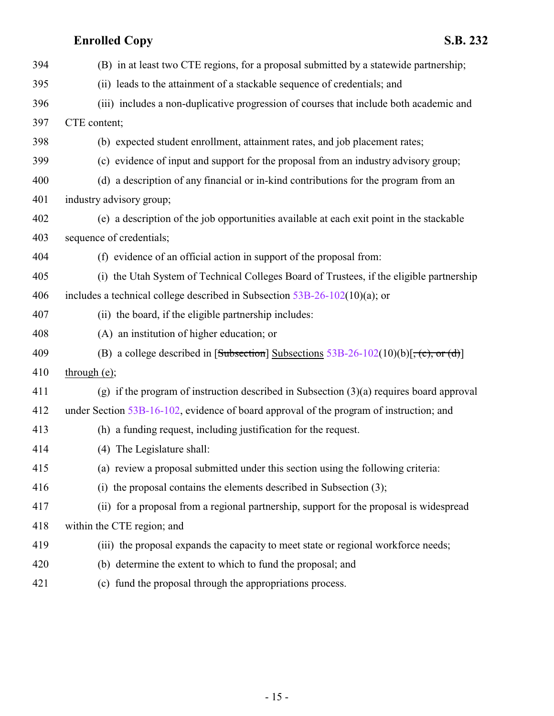| 394 | (B) in at least two CTE regions, for a proposal submitted by a statewide partnership;                         |
|-----|---------------------------------------------------------------------------------------------------------------|
| 395 | (ii) leads to the attainment of a stackable sequence of credentials; and                                      |
| 396 | (iii) includes a non-duplicative progression of courses that include both academic and                        |
| 397 | CTE content;                                                                                                  |
| 398 | (b) expected student enrollment, attainment rates, and job placement rates;                                   |
| 399 | (c) evidence of input and support for the proposal from an industry advisory group;                           |
| 400 | (d) a description of any financial or in-kind contributions for the program from an                           |
| 401 | industry advisory group;                                                                                      |
| 402 | (e) a description of the job opportunities available at each exit point in the stackable                      |
| 403 | sequence of credentials;                                                                                      |
| 404 | (f) evidence of an official action in support of the proposal from:                                           |
| 405 | (i) the Utah System of Technical Colleges Board of Trustees, if the eligible partnership                      |
| 406 | includes a technical college described in Subsection $53B-26-102(10)(a)$ ; or                                 |
| 407 | (ii) the board, if the eligible partnership includes:                                                         |
| 408 | (A) an institution of higher education; or                                                                    |
| 409 | (B) a college described in [Subsection] Subsections $53B-26-102(10)(b)$ $[\overline{f(c)}, \overline{or(d)}]$ |
| 410 | through $(e)$ ;                                                                                               |
| 411 | (g) if the program of instruction described in Subsection $(3)(a)$ requires board approval                    |
| 412 | under Section 53B-16-102, evidence of board approval of the program of instruction; and                       |
| 413 | (h) a funding request, including justification for the request.                                               |
| 414 | (4) The Legislature shall:                                                                                    |
| 415 | (a) review a proposal submitted under this section using the following criteria:                              |
| 416 | (i) the proposal contains the elements described in Subsection $(3)$ ;                                        |
| 417 | (ii) for a proposal from a regional partnership, support for the proposal is widespread                       |
| 418 | within the CTE region; and                                                                                    |
| 419 | (iii) the proposal expands the capacity to meet state or regional workforce needs;                            |
| 420 | (b) determine the extent to which to fund the proposal; and                                                   |
| 421 | (c) fund the proposal through the appropriations process.                                                     |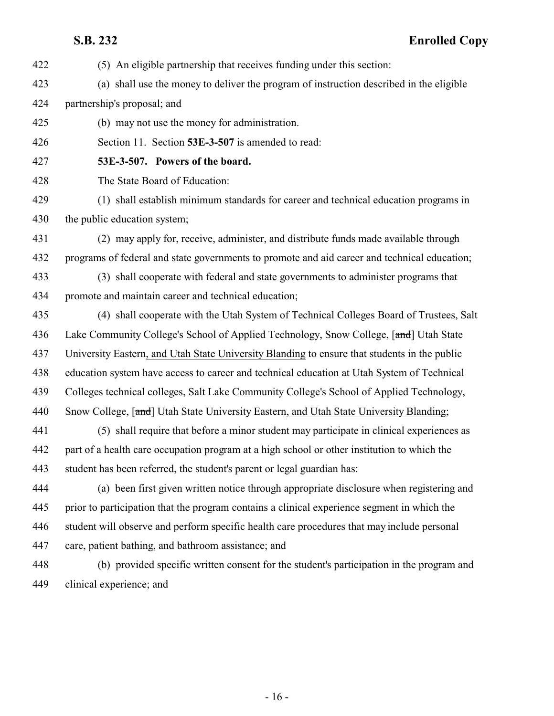<span id="page-15-0"></span> (5) An eligible partnership that receives funding under this section: (a) shall use the money to deliver the program of instruction described in the eligible partnership's proposal; and (b) may not use the money for administration. Section 11. Section **53E-3-507** is amended to read: **53E-3-507. Powers of the board.** The State Board of Education: (1) shall establish minimum standards for career and technical education programs in the public education system; (2) may apply for, receive, administer, and distribute funds made available through programs of federal and state governments to promote and aid career and technical education; (3) shall cooperate with federal and state governments to administer programs that promote and maintain career and technical education; (4) shall cooperate with the Utah System of Technical Colleges Board of Trustees, Salt 436 Lake Community College's School of Applied Technology, Snow College, [and] Utah State University Eastern, and Utah State University Blanding to ensure that students in the public education system have access to career and technical education at Utah System of Technical Colleges technical colleges, Salt Lake Community College's School of Applied Technology, Snow College, [and] Utah State University Eastern, and Utah State University Blanding; (5) shall require that before a minor student may participate in clinical experiences as part of a health care occupation program at a high school or other institution to which the student has been referred, the student's parent or legal guardian has: (a) been first given written notice through appropriate disclosure when registering and prior to participation that the program contains a clinical experience segment in which the student will observe and perform specific health care procedures that may include personal care, patient bathing, and bathroom assistance; and (b) provided specific written consent for the student's participation in the program and clinical experience; and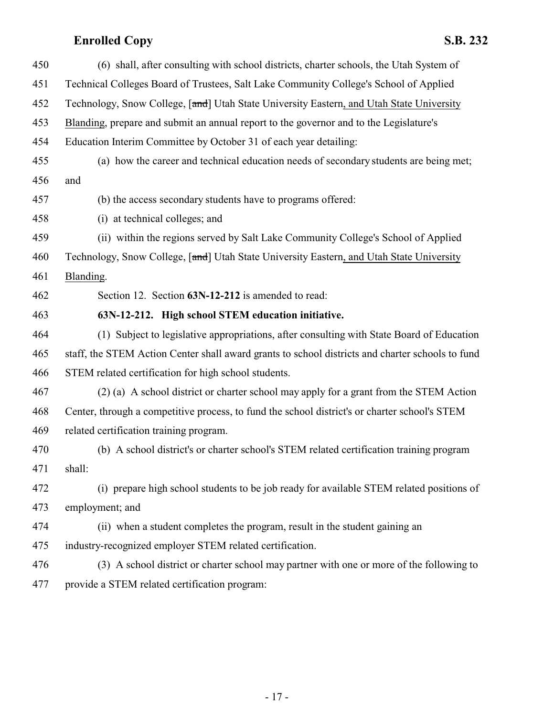<span id="page-16-0"></span>

| 450 | (6) shall, after consulting with school districts, charter schools, the Utah System of           |
|-----|--------------------------------------------------------------------------------------------------|
| 451 | Technical Colleges Board of Trustees, Salt Lake Community College's School of Applied            |
| 452 | Technology, Snow College, [and] Utah State University Eastern, and Utah State University         |
| 453 | Blanding, prepare and submit an annual report to the governor and to the Legislature's           |
| 454 | Education Interim Committee by October 31 of each year detailing:                                |
| 455 | (a) how the career and technical education needs of secondary students are being met;            |
| 456 | and                                                                                              |
| 457 | (b) the access secondary students have to programs offered:                                      |
| 458 | (i) at technical colleges; and                                                                   |
| 459 | (ii) within the regions served by Salt Lake Community College's School of Applied                |
| 460 | Technology, Snow College, [and] Utah State University Eastern, and Utah State University         |
| 461 | Blanding.                                                                                        |
| 462 | Section 12. Section 63N-12-212 is amended to read:                                               |
| 463 | 63N-12-212. High school STEM education initiative.                                               |
| 464 | (1) Subject to legislative appropriations, after consulting with State Board of Education        |
| 465 | staff, the STEM Action Center shall award grants to school districts and charter schools to fund |
| 466 | STEM related certification for high school students.                                             |
| 467 | (2) (a) A school district or charter school may apply for a grant from the STEM Action           |
| 468 | Center, through a competitive process, to fund the school district's or charter school's STEM    |
| 469 | related certification training program.                                                          |
| 470 | (b) A school district's or charter school's STEM related certification training program          |
| 471 | shall:                                                                                           |
| 472 | (i) prepare high school students to be job ready for available STEM related positions of         |
| 473 | employment; and                                                                                  |
| 474 | (ii) when a student completes the program, result in the student gaining an                      |
| 475 | industry-recognized employer STEM related certification.                                         |
| 476 | (3) A school district or charter school may partner with one or more of the following to         |
| 477 | provide a STEM related certification program:                                                    |

- 17 -